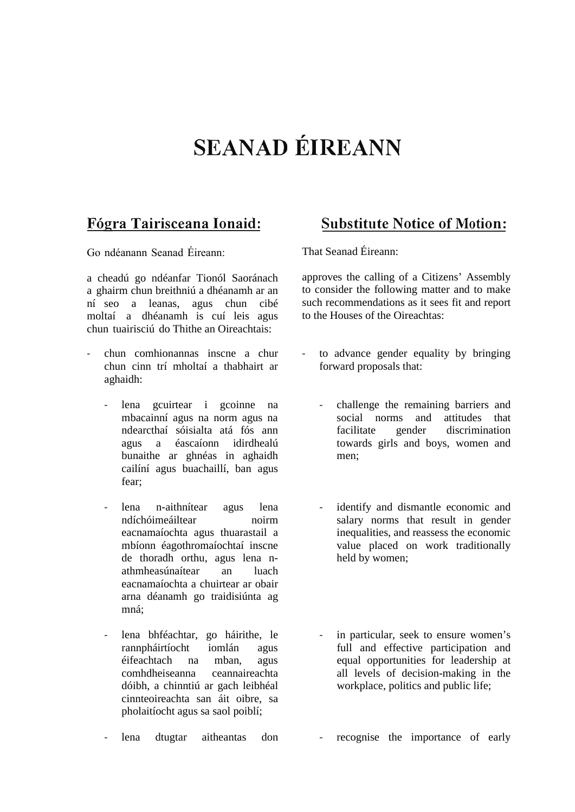## **SEANAD EIREANN**

Go ndéanann Seanad Éireann:

a cheadú go ndéanfar Tionól Saoránach a ghairm chun breithniú a dhéanamh ar an ní seo a leanas, agus chun cibé moltaí a dhéanamh is cuí leis agus chun tuairisciú do Thithe an Oireachtais:

- chun comhionannas inscne a chur chun cinn trí mholtaí a thabhairt ar aghaidh:
	- lena gcuirtear i gcoinne na mbacainní agus na norm agus na ndearcthaí sóisialta atá fós ann agus a éascaíonn idirdhealú bunaithe ar ghnéas in aghaidh cailíní agus buachaillí, ban agus fear;
	- lena n-aithnítear agus lena ndíchóimeáiltear noirm eacnamaíochta agus thuarastail a mbíonn éagothromaíochtaí inscne de thoradh orthu, agus lena nathmheasúnaítear an luach eacnamaíochta a chuirtear ar obair arna déanamh go traidisiúnta ag mná;
	- lena bhféachtar, go háirithe, le rannpháirtíocht iomlán agus éifeachtach na mban, agus comhdheiseanna ceannaireachta dóibh, a chinntiú ar gach leibhéal cinnteoireachta san áit oibre, sa pholaitíocht agus sa saol poiblí;
	- lena dtugtar aitheantas don

## **F6gra Tairisceana Ionaid: Substitute Notice of Motion:**

That Seanad Éireann:

approves the calling of a Citizens' Assembly to consider the following matter and to make such recommendations as it sees fit and report to the Houses of the Oireachtas:

- to advance gender equality by bringing forward proposals that:
	- challenge the remaining barriers and social norms and attitudes that facilitate gender discrimination towards girls and boys, women and men;
	- identify and dismantle economic and salary norms that result in gender inequalities, and reassess the economic value placed on work traditionally held by women;
	- in particular, seek to ensure women's full and effective participation and equal opportunities for leadership at all levels of decision-making in the workplace, politics and public life;
		- recognise the importance of early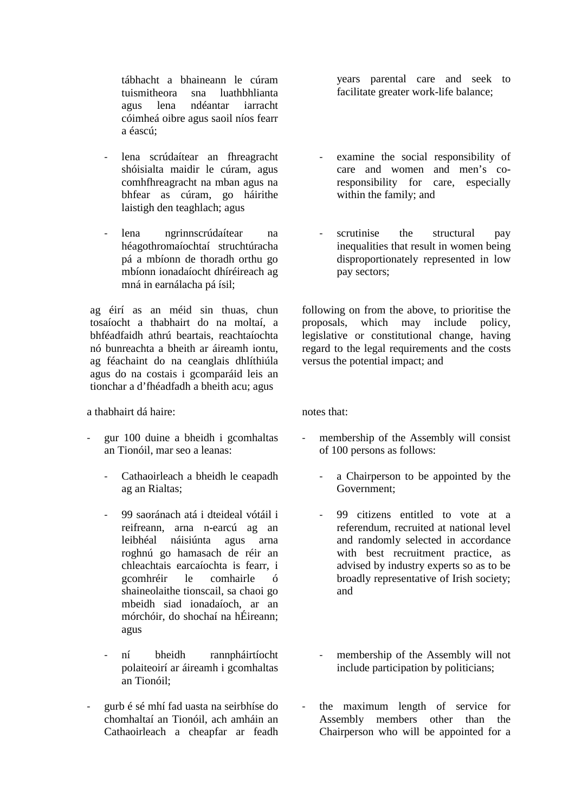tábhacht a bhaineann le cúram tuismitheora sna luathbhlianta agus lena ndéantar iarracht cóimheá oibre agus saoil níos fearr a éascú;

- lena scrúdaítear an fhreagracht shóisialta maidir le cúram, agus comhfhreagracht na mban agus na bhfear as cúram, go háirithe laistigh den teaghlach; agus
- lena ngrinnscrúdaítear na héagothromaíochtaí struchtúracha pá a mbíonn de thoradh orthu go mbíonn ionadaíocht dhíréireach ag mná in earnálacha pá ísil;

ag éirí as an méid sin thuas, chun tosaíocht a thabhairt do na moltaí, a bhféadfaidh athrú beartais, reachtaíochta nó bunreachta a bheith ar áireamh iontu, ag féachaint do na ceanglais dhlíthiúla agus do na costais i gcomparáid leis an tionchar a d'fhéadfadh a bheith acu; agus

a thabhairt dá haire:

- gur 100 duine a bheidh i gcomhaltas an Tionóil, mar seo a leanas:
	- Cathaoirleach a bheidh le ceapadh ag an Rialtas;
	- 99 saoránach atá i dteideal vótáil i reifreann, arna n-earcú ag an leibhéal náisiúnta agus arna roghnú go hamasach de réir an chleachtais earcaíochta is fearr, i gcomhréir le comhairle ó shaineolaithe tionscail, sa chaoi go mbeidh siad ionadaíoch, ar an mórchóir, do shochaí na hÉireann; agus
	- ní bheidh rannpháirtíocht polaiteoirí ar áireamh i gcomhaltas an Tionóil;
- gurb é sé mhí fad uasta na seirbhíse do chomhaltaí an Tionóil, ach amháin an Cathaoirleach a cheapfar ar feadh

years parental care and seek to facilitate greater work-life balance;

- examine the social responsibility of care and women and men's coresponsibility for care, especially within the family; and
- scrutinise the structural pay inequalities that result in women being disproportionately represented in low pay sectors;

following on from the above, to prioritise the proposals, which may include policy, legislative or constitutional change, having regard to the legal requirements and the costs versus the potential impact; and

notes that:

- membership of the Assembly will consist of 100 persons as follows:
	- a Chairperson to be appointed by the Government;
	- 99 citizens entitled to vote at a referendum, recruited at national level and randomly selected in accordance with best recruitment practice, as advised by industry experts so as to be broadly representative of Irish society; and
	- membership of the Assembly will not include participation by politicians;
- the maximum length of service for Assembly members other than the Chairperson who will be appointed for a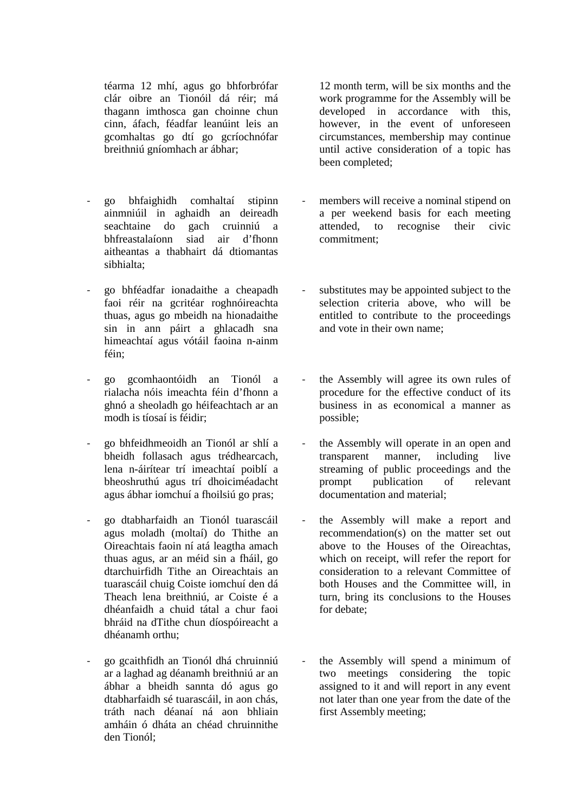téarma 12 mhí, agus go bhforbrófar clár oibre an Tionóil dá réir; má thagann imthosca gan choinne chun cinn, áfach, féadfar leanúint leis an gcomhaltas go dtí go gcríochnófar breithniú gníomhach ar ábhar;

- go bhfaighidh comhaltaí stipinn ainmniúil in aghaidh an deireadh seachtaine do gach cruinniú a bhfreastalaíonn siad air d'fhonn aitheantas a thabhairt dá dtiomantas sibhialta;
- go bhféadfar ionadaithe a cheapadh faoi réir na gcritéar roghnóireachta thuas, agus go mbeidh na hionadaithe sin in ann páirt a ghlacadh sna himeachtaí agus vótáil faoina n-ainm féin;
- go gcomhaontóidh an Tionól a rialacha nóis imeachta féin d'fhonn a ghnó a sheoladh go héifeachtach ar an modh is tíosaí is féidir;
- go bhfeidhmeoidh an Tionól ar shlí a bheidh follasach agus trédhearcach, lena n-áirítear trí imeachtaí poiblí a bheoshruthú agus trí dhoiciméadacht agus ábhar iomchuí a fhoilsiú go pras;
- go dtabharfaidh an Tionól tuarascáil agus moladh (moltaí) do Thithe an Oireachtais faoin ní atá leagtha amach thuas agus, ar an méid sin a fháil, go dtarchuirfidh Tithe an Oireachtais an tuarascáil chuig Coiste iomchuí den dá Theach lena breithniú, ar Coiste é a dhéanfaidh a chuid tátal a chur faoi bhráid na dTithe chun díospóireacht a dhéanamh orthu;
- go gcaithfidh an Tionól dhá chruinniú ar a laghad ag déanamh breithniú ar an ábhar a bheidh sannta dó agus go dtabharfaidh sé tuarascáil, in aon chás, tráth nach déanaí ná aon bhliain amháin ó dháta an chéad chruinnithe den Tionól;

12 month term, will be six months and the work programme for the Assembly will be developed in accordance with this, however, in the event of unforeseen circumstances, membership may continue until active consideration of a topic has been completed;

- members will receive a nominal stipend on a per weekend basis for each meeting attended, to recognise their civic commitment;
- substitutes may be appointed subject to the selection criteria above, who will be entitled to contribute to the proceedings and vote in their own name;
- the Assembly will agree its own rules of procedure for the effective conduct of its business in as economical a manner as possible;
- the Assembly will operate in an open and transparent manner, including live streaming of public proceedings and the prompt publication of relevant documentation and material;
- the Assembly will make a report and recommendation(s) on the matter set out above to the Houses of the Oireachtas, which on receipt, will refer the report for consideration to a relevant Committee of both Houses and the Committee will, in turn, bring its conclusions to the Houses for debate;
- the Assembly will spend a minimum of two meetings considering the topic assigned to it and will report in any event not later than one year from the date of the first Assembly meeting;